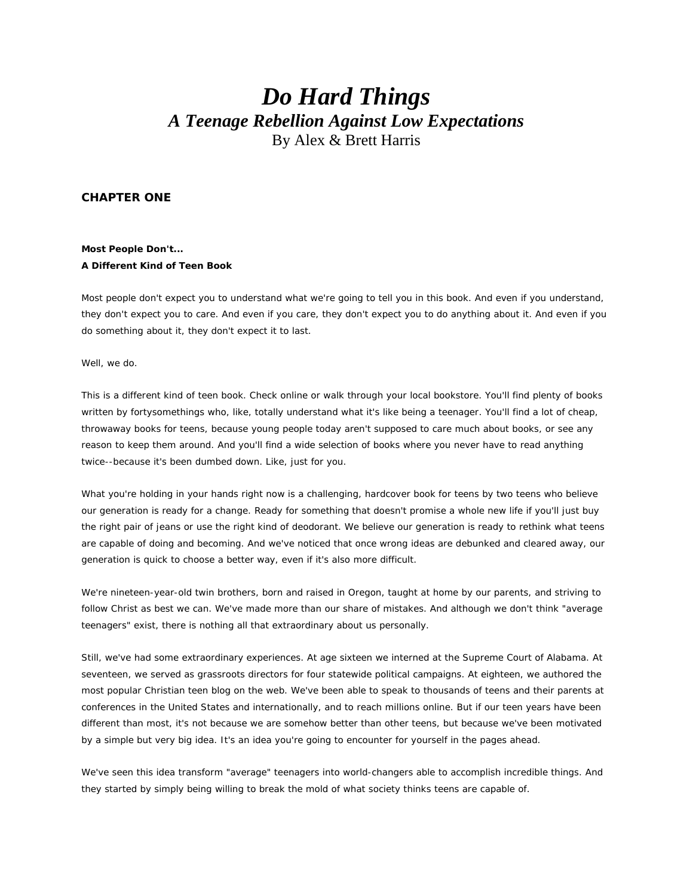## *Do Hard Things A Teenage Rebellion Against Low Expectations*  By Alex & Brett Harris

## **CHAPTER ONE**

## **Most People Don't...**  *A Different Kind of Teen Book*

Most people don't expect you to understand what we're going to tell you in this book. And even if you understand, they don't expect you to care. And even if you care, they don't expect you to do anything about it. And even if you do something about it, they don't expect it to last.

Well, we do.

This is a different kind of teen book. Check online or walk through your local bookstore. You'll find plenty of books written by fortysomethings who, *like, totally understand what it's like being a teenager.* You'll find a lot of cheap, throwaway books for teens, because young people today aren't supposed to care much about books, or see any reason to keep them around. And you'll find a wide selection of books where you never have to read anything twice--because it's been dumbed down. *Like, just for you.*

What you're holding in your hands right now is a challenging, hardcover book *for* teens *by* two teens who believe our generation is ready for a change. Ready for something that doesn't promise a whole new life if you'll just buy the right pair of jeans or use the right kind of deodorant. We believe our generation is ready to rethink what teens are capable of doing and becoming. And we've noticed that once wrong ideas are debunked and cleared away, our generation is quick to choose a better way, even if it's also more difficult.

We're nineteen-year-old twin brothers, born and raised in Oregon, taught at home by our parents, and striving to follow Christ as best we can. We've made more than our share of mistakes. And although we don't think "average teenagers" exist, there is nothing all that extraordinary about us personally.

Still, we've had some extraordinary experiences. At age sixteen we interned at the Supreme Court of Alabama. At seventeen, we served as grassroots directors for four statewide political campaigns. At eighteen, we authored the most popular Christian teen blog on the web. We've been able to speak to thousands of teens and their parents at conferences in the United States and internationally, and to reach millions online. But if our teen years have been different than most, it's not because we are somehow better than other teens, but because we've been motivated by a simple but very big idea. It's an idea you're going to encounter for yourself in the pages ahead.

We've seen this idea transform "average" teenagers into world-changers able to accomplish incredible things. And they started by simply being willing to break the mold of what society thinks teens are capable of.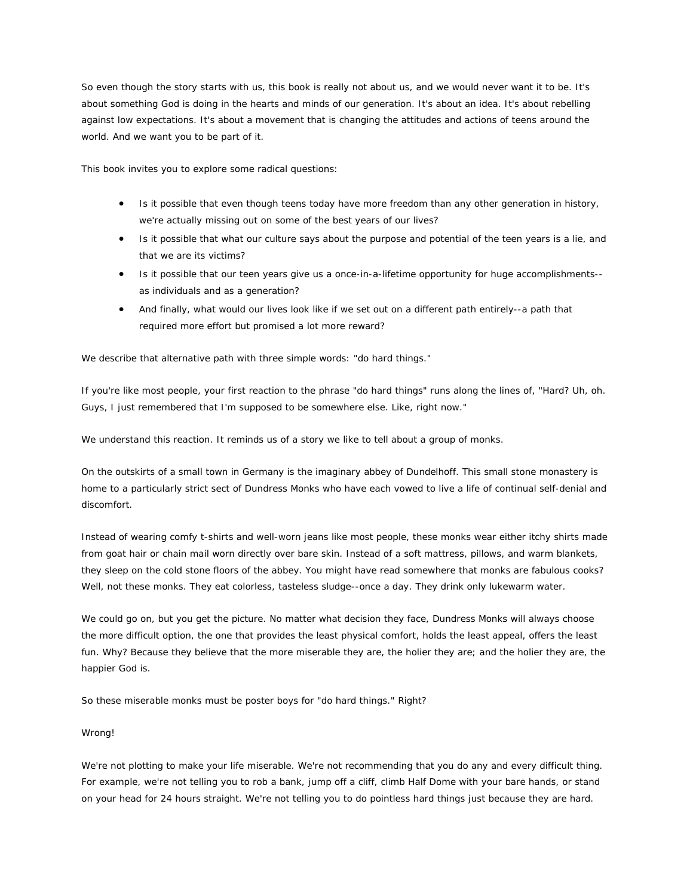So even though the story starts with us, this book is really not about us, and we would never want it to be. It's about something God is doing in the hearts and minds of our generation. It's about an idea. It's about rebelling against low expectations. It's about a movement that is changing the attitudes and actions of teens around the world. And we want you to be part of it.

This book invites you to explore some radical questions:

- Is it possible that even though teens today have more freedom than any other generation in history, we're actually missing out on some of the best years of our lives?
- Is it possible that what our culture says about the purpose and potential of the teen years is a lie, and that we are its victims?
- Is it possible that our teen years give us a once-in-a-lifetime opportunity for huge accomplishments- as individuals and as a generation?
- And finally, what would our lives look like if we set out on a different path entirely--a path that required more effort but promised a lot more reward?

We describe that alternative path with three simple words: "do hard things."

If you're like most people, your first reaction to the phrase "do hard things" runs along the lines of, "Hard? Uh, oh. Guys, I just remembered that I'm supposed to be somewhere else. Like, right now."

We understand this reaction. It reminds us of a story we like to tell about a group of monks.

On the outskirts of a small town in Germany is the imaginary abbey of Dundelhoff. This small stone monastery is home to a particularly strict sect of Dundress Monks who have each vowed to live a life of continual self-denial and discomfort.

Instead of wearing comfy t-shirts and well-worn jeans like most people, these monks wear either itchy shirts made from goat hair or chain mail worn directly over bare skin. Instead of a soft mattress, pillows, and warm blankets, they sleep on the cold stone floors of the abbey. You might have read somewhere that monks are fabulous cooks? Well, not these monks. They eat colorless, tasteless sludge--once a day. They drink only lukewarm water.

We could go on, but you get the picture. No matter what decision they face, Dundress Monks will always choose the more difficult option, the one that provides the least physical comfort, holds the least appeal, offers the least fun. Why? Because they believe that the more miserable they are, the holier they are; and the holier they are, the happier God is.

So these miserable monks must be poster boys for "do hard things." Right?

## Wrong!

We're not plotting to make your life miserable. We're not recommending that you do any and every difficult thing. For example, we're not telling you to rob a bank, jump off a cliff, climb Half Dome with your bare hands, or stand on your head for 24 hours straight. We're not telling you to do pointless hard things just because they are hard.